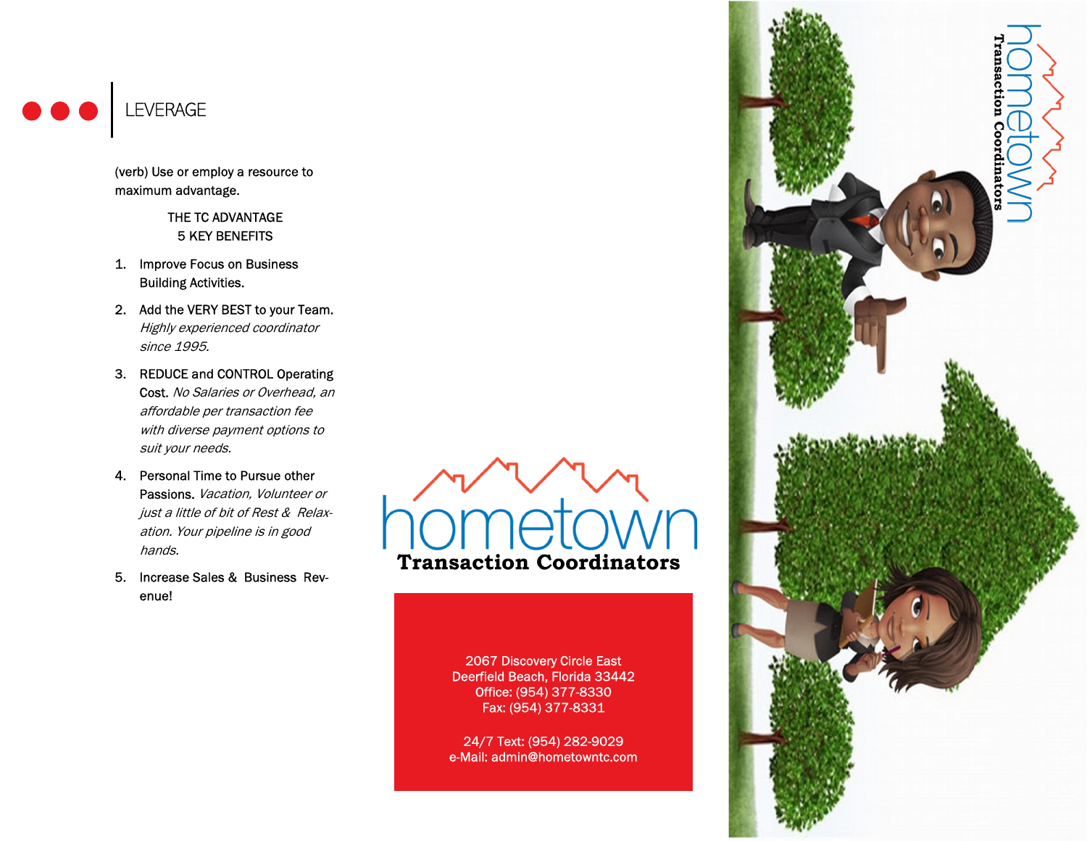

(verb) Use or employ a resource to maximum advantage.

> THE TC ADVANTAGE 5 KEY BENEFITS

- 1. Improve Focus on Business Building Activities.
- 2. Add the VERY BEST to your Team. Highly experienced coordinator since 1995.
- 3. REDUCE and CONTROL Operating Cost. No Salaries or Overhead, an affordable per transaction fee with diverse payment options to suit your needs.
- 4. Personal Time to Pursue other Passions. Vacation, Volunteer or just a little of bit of Rest & Relaxation. Your pipeline is in good hands.
- 5. Increase Sales & Business Revenue!

**Transaction Coordinators** 

2067 Discovery Circle East Deerfield Beach, Florida 33442 Office: (954) 377-8330 Fax: (954) 377-8331

24/7 Text: (954) 282-9029 e-Mail: admin@hometowntc.com